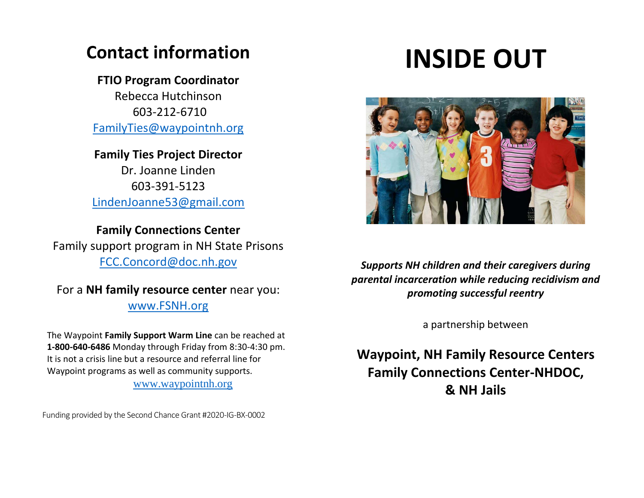# **Contact information**

# **FTIO Program Coordinator**

Rebecca Hutchinson 603-212-6710 [FamilyTies@waypointnh.org](mailto:FTIOprogram@gmail.com)

# **Family Ties Project Director**

Dr. Joanne Linden 603-391-5123 [LindenJoanne53@gmail.com](mailto:LindenJoanne53@gmail.com)

# **Family Connections Center**

Family support program in NH State Prisons [FCC.Concord@doc.nh.gov](mailto:FCC.Concord@doc.nh.gov)

For a **NH family resource center** near you: [www.FSNH.org](http://www.fsnh.org/)

 The Waypoint **Family Support Warm Line** can be reached at **1-800-640-6486** Monday through Friday from 8:30-4:30 pm. It is not a crisis line but a resource and referral line for Waypoint programs as well as community supports. [www.waypointnh.org](http://www.waypointnh.org/)

Funding provided by the Second Chance Grant #2020-IG-BX-0002<br> **Funding provided by the Second Chance Grant #2020-IG-BX-0002** 

# **INSIDE OUT**



*Supports NH children and their caregivers during parental incarceration while reducing recidivism and promoting successful reentry* 

a partnership between

**Waypoint, NH Family Resource Centers Family Connections Center-NHDOC, & NH Jails**